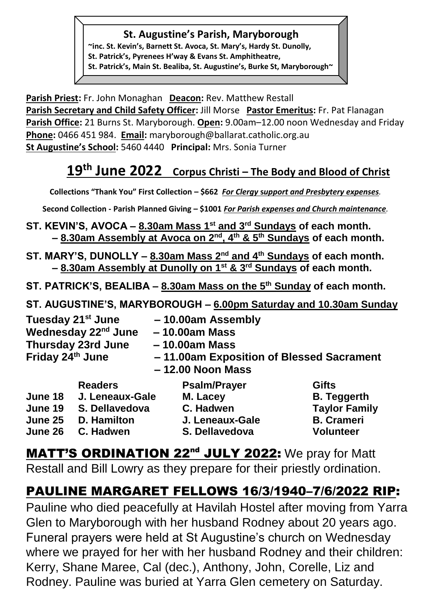#### **St. Augustine's Parish, Maryborough**

**~inc. St. Kevin's, Barnett St. Avoca, St. Mary's, Hardy St. Dunolly, St. Patrick's, Pyrenees H'way & Evans St. Amphitheatre, St. Patrick's, Main St. Bealiba, St. Augustine's, Burke St, Maryborough~**

**Parish Priest:** Fr. John Monaghan **Deacon:** Rev. Matthew Restall Parish Secretary and Child Safety Officer: Jill Morse Pastor Emeritus: Fr. Pat Flanagan **Parish Office:** 21 Burns St. Maryborough. **Open:** 9.00am–12.00 noon Wednesday and Friday **Phone:** 0466 451 984. **Email:** [maryborough@ballarat.catholic.org.au](mailto:maryborough@ballarat.catholic.org.au)  **St Augustine's School:** 5460 4440 **Principal:** Mrs. Sonia Turner

# **19 th June 2022 Corpus Christi – The Body and Blood of Christ**

**Collections "Thank You" First Collection – \$662** *For Clergy* **s***upport and Presbytery expenses.* 

**Second Collection - Parish Planned Giving – \$1001** *For Parish expenses and Church maintenance.*

- **ST. KEVIN'S, AVOCA – 8.30am Mass 1st and 3rd Sundays of each month. – 8.30am Assembly at Avoca on 2nd, 4th & 5th Sundays of each month.**
- **ST. MARY'S, DUNOLLY – 8.30am Mass 2nd and 4th Sundays of each month. – 8.30am Assembly at Dunolly on 1st & 3rd Sundays of each month.**
- **ST. PATRICK'S, BEALIBA – 8.30am Mass on the 5th Sunday of each month.**
- **ST. AUGUSTINE'S, MARYBOROUGH – 6.00pm Saturday and 10.30am Sunday**

| Friday 24th June | Tuesday 21 <sup>st</sup> June<br>Wednesday 22 <sup>nd</sup> June<br><b>Thursday 23rd June</b> | -10.00am Assembly<br>$-10.00$ am Mass<br>$-10.00am$ Mass<br>-11.00am Exposition of Blessed Sacrament<br>$-12.00$ Noon Mass |                      |
|------------------|-----------------------------------------------------------------------------------------------|----------------------------------------------------------------------------------------------------------------------------|----------------------|
|                  | <b>Readers</b>                                                                                | <b>Psalm/Prayer</b>                                                                                                        | <b>Gifts</b>         |
| June 18          | J. Leneaux-Gale                                                                               | M. Lacey                                                                                                                   | <b>B.</b> Teggerth   |
| June 19          | S. Dellavedova                                                                                | C. Hadwen                                                                                                                  | <b>Taylor Family</b> |
| June 25          | <b>D.</b> Hamilton                                                                            | J. Leneaux-Gale                                                                                                            | <b>B.</b> Crameri    |
| June 26          | C. Hadwen                                                                                     | S. Dellavedova                                                                                                             | <b>Volunteer</b>     |

MATT'S ORDINATION 22<sup>nd</sup> JULY 2022: We pray for Matt Restall and Bill Lowry as they prepare for their priestly ordination.

## PAULINE MARGARET FELLOWS 16/3/1940–7/6/2022 RIP:

Pauline who died peacefully at Havilah Hostel after moving from Yarra Glen to Maryborough with her husband Rodney about 20 years ago. Funeral prayers were held at St Augustine's church on Wednesday where we prayed for her with her husband Rodney and their children: Kerry, Shane Maree, Cal (dec.), Anthony, John, Corelle, Liz and Rodney. Pauline was buried at Yarra Glen cemetery on Saturday.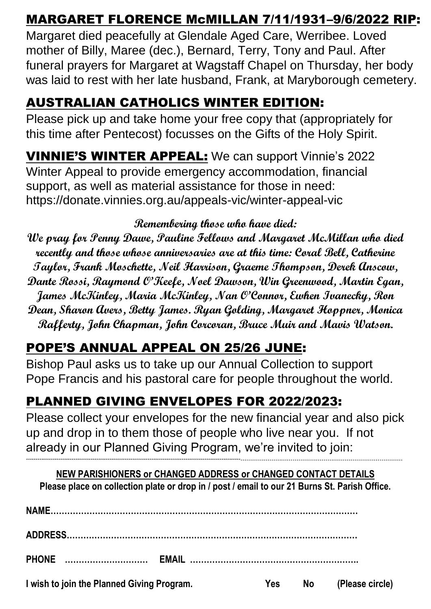### MARGARET FLORENCE McMILLAN 7/11/1931–9/6/2022 RIP:

Margaret died peacefully at Glendale Aged Care, Werribee. Loved mother of Billy, Maree (dec.), Bernard, Terry, Tony and Paul. After funeral prayers for Margaret at Wagstaff Chapel on Thursday, her body was laid to rest with her late husband, Frank, at Maryborough cemetery.

### AUSTRALIAN CATHOLICS WINTER EDITION:

Please pick up and take home your free copy that (appropriately for this time after Pentecost) focusses on the Gifts of the Holy Spirit.

VINNIE'S WINTER APPEAL: We can support Vinnie's 2022 Winter Appeal to provide emergency accommodation, financial support, as well as material assistance for those in need: <https://donate.vinnies.org.au/appeals-vic/winter-appeal-vic>

#### **Remembering those who have died:**

**We pray for Penny Dawe, Pauline Fellows and Margaret McMillan who died recently and those whose anniversaries are at this time: Coral Bell, Catherine Taylor, Frank Moschette, Neil Harrison, Graeme Thompson, Derek Anscow, Dante Rossi, Raymond O'Keefe, Noel Dawson, Win Greenwood, Martin Egan, James McKinley, Maria McKinley, Nan O'Connor, Ewhen Ivanecky, Ron Dean, Sharon Avers, Betty James. Ryan Golding, Margaret Hoppner, Monica Rafferty, John Chapman, John Corcoran, Bruce Muir and Mavis Watson.**

### POPE'S ANNUAL APPEAL ON 25/26 JUNE:

Bishop Paul asks us to take up our Annual Collection to support Pope Francis and his pastoral care for people throughout the world.

## PLANNED GIVING ENVELOPES FOR 2022/2023:

Please collect your envelopes for the new financial year and also pick up and drop in to them those of people who live near you. If not already in our Planned Giving Program, we're invited to join:

**NEW PARISHIONERS or CHANGED ADDRESS or CHANGED CONTACT DETAILS Please place on collection plate or drop in / post / email to our 21 Burns St. Parish Office.**

**-----------------------------------------------------------------------------------------------------------------…………………………………………………………………………**

**NAME………………………………………………………………………………………………… ADDRESS…………………………………………………………………………………………… PHONE ………………………… EMAIL ……………………………………………………. I** wish to join the Planned Giving Program. No **Please Circle No** (Please circle)